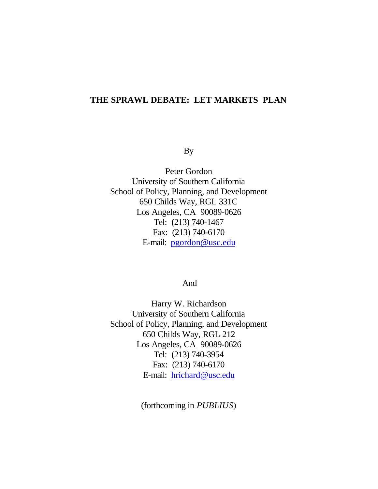## **THE SPRAWL DEBATE: LET MARKETS PLAN**

By

Peter Gordon University of Southern California School of Policy, Planning, and Development 650 Childs Way, RGL 331C Los Angeles, CA 90089-0626 Tel: (213) 740-1467 Fax: (213) 740-6170 E-mail: pgordon@usc.edu

And

Harry W. Richardson University of Southern California School of Policy, Planning, and Development 650 Childs Way, RGL 212 Los Angeles, CA 90089-0626 Tel: (213) 740-3954 Fax: (213) 740-6170 E-mail: hrichard@usc.edu

(forthcoming in *PUBLIUS*)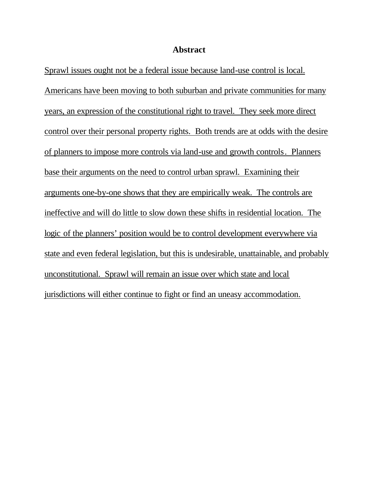### **Abstract**

Sprawl issues ought not be a federal issue because land-use control is local. Americans have been moving to both suburban and private communities for many years, an expression of the constitutional right to travel. They seek more direct control over their personal property rights. Both trends are at odds with the desire of planners to impose more controls via land-use and growth controls. Planners base their arguments on the need to control urban sprawl. Examining their arguments one-by-one shows that they are empirically weak. The controls are ineffective and will do little to slow down these shifts in residential location. The logic of the planners' position would be to control development everywhere via state and even federal legislation, but this is undesirable, unattainable, and probably unconstitutional. Sprawl will remain an issue over which state and local jurisdictions will either continue to fight or find an uneasy accommodation.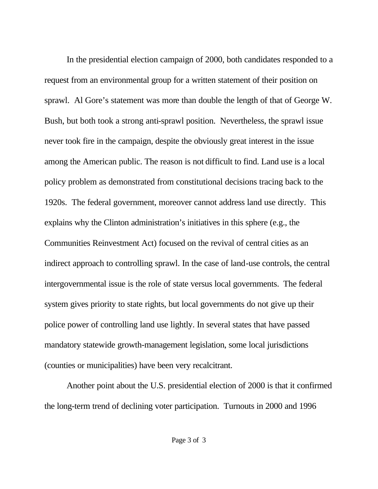In the presidential election campaign of 2000, both candidates responded to a request from an environmental group for a written statement of their position on sprawl. Al Gore's statement was more than double the length of that of George W. Bush, but both took a strong anti-sprawl position. Nevertheless, the sprawl issue never took fire in the campaign, despite the obviously great interest in the issue among the American public. The reason is not difficult to find. Land use is a local policy problem as demonstrated from constitutional decisions tracing back to the 1920s. The federal government, moreover cannot address land use directly. This explains why the Clinton administration's initiatives in this sphere (e.g., the Communities Reinvestment Act) focused on the revival of central cities as an indirect approach to controlling sprawl. In the case of land-use controls, the central intergovernmental issue is the role of state versus local governments. The federal system gives priority to state rights, but local governments do not give up their police power of controlling land use lightly. In several states that have passed mandatory statewide growth-management legislation, some local jurisdictions (counties or municipalities) have been very recalcitrant.

Another point about the U.S. presidential election of 2000 is that it confirmed the long-term trend of declining voter participation. Turnouts in 2000 and 1996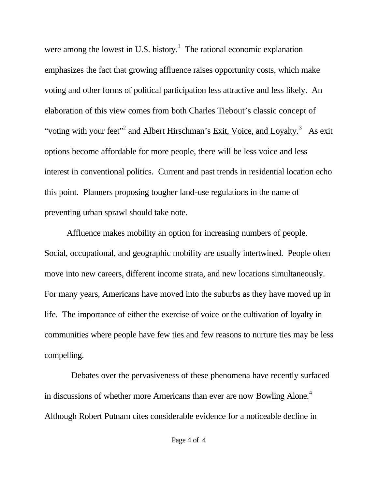were among the lowest in U.S. history.<sup>1</sup> The rational economic explanation emphasizes the fact that growing affluence raises opportunity costs, which make voting and other forms of political participation less attractive and less likely. An elaboration of this view comes from both Charles Tiebout's classic concept of "voting with your feet"<sup>2</sup> and Albert Hirschman's  $\overline{\text{Exit}}$ , Voice, and Loyalty.<sup>3</sup> As exit options become affordable for more people, there will be less voice and less interest in conventional politics. Current and past trends in residential location echo this point. Planners proposing tougher land-use regulations in the name of preventing urban sprawl should take note.

Affluence makes mobility an option for increasing numbers of people. Social, occupational, and geographic mobility are usually intertwined. People often move into new careers, different income strata, and new locations simultaneously. For many years, Americans have moved into the suburbs as they have moved up in life. The importance of either the exercise of voice or the cultivation of loyalty in communities where people have few ties and few reasons to nurture ties may be less compelling.

 Debates over the pervasiveness of these phenomena have recently surfaced in discussions of whether more Americans than ever are now Bowling Alone.<sup>4</sup> Although Robert Putnam cites considerable evidence for a noticeable decline in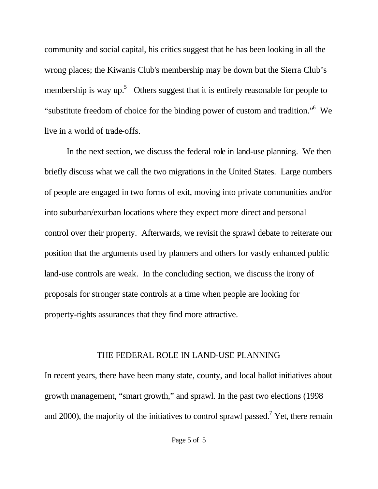community and social capital, his critics suggest that he has been looking in all the wrong places; the Kiwanis Club's membership may be down but the Sierra Club's membership is way up.<sup>5</sup> Others suggest that it is entirely reasonable for people to "substitute freedom of choice for the binding power of custom and tradition." We live in a world of trade-offs.

In the next section, we discuss the federal role in land-use planning. We then briefly discuss what we call the two migrations in the United States. Large numbers of people are engaged in two forms of exit, moving into private communities and/or into suburban/exurban locations where they expect more direct and personal control over their property. Afterwards, we revisit the sprawl debate to reiterate our position that the arguments used by planners and others for vastly enhanced public land-use controls are weak. In the concluding section, we discuss the irony of proposals for stronger state controls at a time when people are looking for property-rights assurances that they find more attractive.

## THE FEDERAL ROLE IN LAND-USE PLANNING

In recent years, there have been many state, county, and local ballot initiatives about growth management, "smart growth," and sprawl. In the past two elections (1998 and 2000), the majority of the initiatives to control sprawl passed.<sup>7</sup> Yet, there remain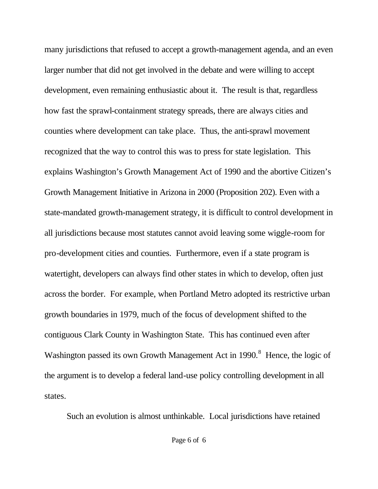many jurisdictions that refused to accept a growth-management agenda, and an even larger number that did not get involved in the debate and were willing to accept development, even remaining enthusiastic about it. The result is that, regardless how fast the sprawl-containment strategy spreads, there are always cities and counties where development can take place. Thus, the anti-sprawl movement recognized that the way to control this was to press for state legislation. This explains Washington's Growth Management Act of 1990 and the abortive Citizen's Growth Management Initiative in Arizona in 2000 (Proposition 202). Even with a state-mandated growth-management strategy, it is difficult to control development in all jurisdictions because most statutes cannot avoid leaving some wiggle-room for pro-development cities and counties. Furthermore, even if a state program is watertight, developers can always find other states in which to develop, often just across the border. For example, when Portland Metro adopted its restrictive urban growth boundaries in 1979, much of the focus of development shifted to the contiguous Clark County in Washington State. This has continued even after Washington passed its own Growth Management Act in  $1990.^8$  Hence, the logic of the argument is to develop a federal land-use policy controlling development in all states.

Such an evolution is almost unthinkable. Local jurisdictions have retained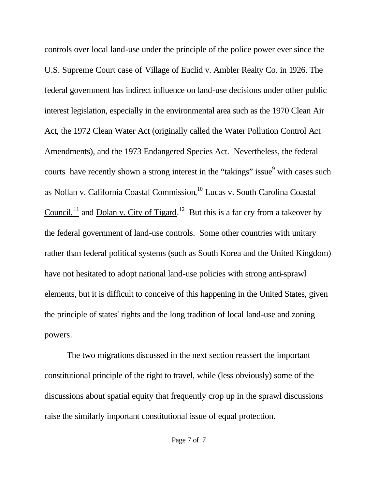controls over local land-use under the principle of the police power ever since the U.S. Supreme Court case of Village of Euclid v. Ambler Realty Co*.* in 1926. The federal government has indirect influence on land-use decisions under other public interest legislation, especially in the environmental area such as the 1970 Clean Air Act, the 1972 Clean Water Act (originally called the Water Pollution Control Act Amendments), and the 1973 Endangered Species Act. Nevertheless, the federal courts have recently shown a strong interest in the "takings" issue<sup>9</sup> with cases such as Nollan v. California Coastal Commission, <sup>10</sup> Lucas v. South Carolina Coastal Council,  $\frac{1}{11}$  and Dolan v. City of Tigard.<sup>12</sup> But this is a far cry from a takeover by the federal government of land-use controls. Some other countries with unitary rather than federal political systems (such as South Korea and the United Kingdom) have not hesitated to adopt national land-use policies with strong anti-sprawl elements, but it is difficult to conceive of this happening in the United States, given the principle of states' rights and the long tradition of local land-use and zoning powers.

The two migrations discussed in the next section reassert the important constitutional principle of the right to travel, while (less obviously) some of the discussions about spatial equity that frequently crop up in the sprawl discussions raise the similarly important constitutional issue of equal protection.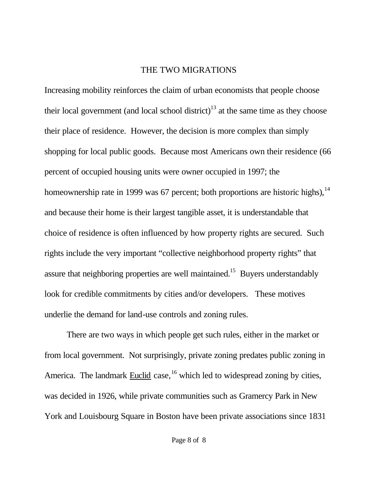### THE TWO MIGRATIONS

Increasing mobility reinforces the claim of urban economists that people choose their local government (and local school district)<sup>13</sup> at the same time as they choose their place of residence. However, the decision is more complex than simply shopping for local public goods. Because most Americans own their residence (66 percent of occupied housing units were owner occupied in 1997; the homeownership rate in 1999 was 67 percent; both proportions are historic highs),<sup>14</sup> and because their home is their largest tangible asset, it is understandable that choice of residence is often influenced by how property rights are secured. Such rights include the very important "collective neighborhood property rights" that assure that neighboring properties are well maintained.<sup>15</sup> Buyers understandably look for credible commitments by cities and/or developers. These motives underlie the demand for land-use controls and zoning rules.

There are two ways in which people get such rules, either in the market or from local government. Not surprisingly, private zoning predates public zoning in America. The landmark **Euclid** case, <sup>16</sup> which led to widespread zoning by cities, was decided in 1926, while private communities such as Gramercy Park in New York and Louisbourg Square in Boston have been private associations since 1831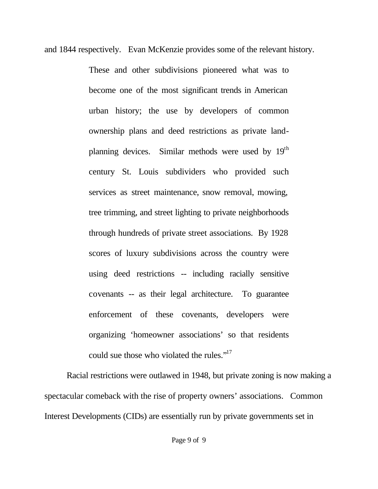and 1844 respectively. Evan McKenzie provides some of the relevant history.

These and other subdivisions pioneered what was to become one of the most significant trends in American urban history; the use by developers of common ownership plans and deed restrictions as private landplanning devices. Similar methods were used by  $19<sup>th</sup>$ century St. Louis subdividers who provided such services as street maintenance, snow removal, mowing, tree trimming, and street lighting to private neighborhoods through hundreds of private street associations. By 1928 scores of luxury subdivisions across the country were using deed restrictions -- including racially sensitive covenants -- as their legal architecture. To guarantee enforcement of these covenants, developers were organizing 'homeowner associations' so that residents could sue those who violated the rules."<sup>17</sup>

Racial restrictions were outlawed in 1948, but private zoning is now making a spectacular comeback with the rise of property owners' associations. Common Interest Developments (CIDs) are essentially run by private governments set in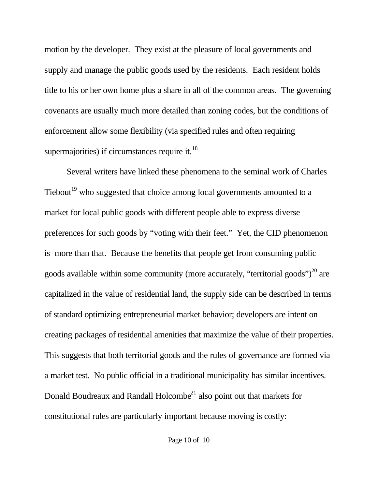motion by the developer. They exist at the pleasure of local governments and supply and manage the public goods used by the residents. Each resident holds title to his or her own home plus a share in all of the common areas. The governing covenants are usually much more detailed than zoning codes, but the conditions of enforcement allow some flexibility (via specified rules and often requiring supermajorities) if circumstances require it. $^{18}$ 

Several writers have linked these phenomena to the seminal work of Charles Tiebout<sup>19</sup> who suggested that choice among local governments amounted to a market for local public goods with different people able to express diverse preferences for such goods by "voting with their feet." Yet, the CID phenomenon is more than that. Because the benefits that people get from consuming public goods available within some community (more accurately, "territorial goods") $^{20}$  are capitalized in the value of residential land, the supply side can be described in terms of standard optimizing entrepreneurial market behavior; developers are intent on creating packages of residential amenities that maximize the value of their properties. This suggests that both territorial goods and the rules of governance are formed via a market test. No public official in a traditional municipality has similar incentives. Donald Boudreaux and Randall Holcombe<sup>21</sup> also point out that markets for constitutional rules are particularly important because moving is costly: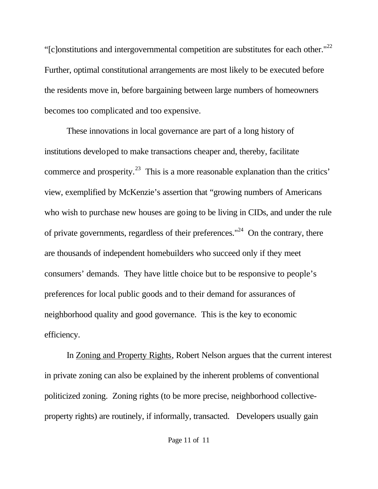"[c]onstitutions and intergovernmental competition are substitutes for each other." $^{22}$ Further, optimal constitutional arrangements are most likely to be executed before the residents move in, before bargaining between large numbers of homeowners becomes too complicated and too expensive.

These innovations in local governance are part of a long history of institutions developed to make transactions cheaper and, thereby, facilitate commerce and prosperity.<sup>23</sup> This is a more reasonable explanation than the critics' view, exemplified by McKenzie's assertion that "growing numbers of Americans who wish to purchase new houses are going to be living in CIDs, and under the rule of private governments, regardless of their preferences."<sup>24</sup> On the contrary, there are thousands of independent homebuilders who succeed only if they meet consumers' demands. They have little choice but to be responsive to people's preferences for local public goods and to their demand for assurances of neighborhood quality and good governance. This is the key to economic efficiency.

In Zoning and Property Rights, Robert Nelson argues that the current interest in private zoning can also be explained by the inherent problems of conventional politicized zoning. Zoning rights (to be more precise, neighborhood collectiveproperty rights) are routinely, if informally, transacted. Developers usually gain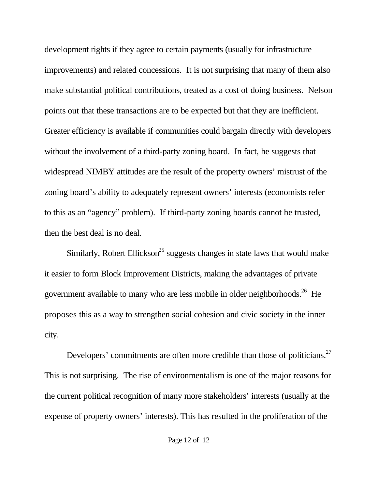development rights if they agree to certain payments (usually for infrastructure improvements) and related concessions. It is not surprising that many of them also make substantial political contributions, treated as a cost of doing business. Nelson points out that these transactions are to be expected but that they are inefficient. Greater efficiency is available if communities could bargain directly with developers without the involvement of a third-party zoning board. In fact, he suggests that widespread NIMBY attitudes are the result of the property owners' mistrust of the zoning board's ability to adequately represent owners' interests (economists refer to this as an "agency" problem). If third-party zoning boards cannot be trusted, then the best deal is no deal.

Similarly, Robert Ellickson<sup>25</sup> suggests changes in state laws that would make it easier to form Block Improvement Districts, making the advantages of private government available to many who are less mobile in older neighborhoods.<sup>26</sup> He proposes this as a way to strengthen social cohesion and civic society in the inner city.

Developers' commitments are often more credible than those of politicians. $27$ This is not surprising. The rise of environmentalism is one of the major reasons for the current political recognition of many more stakeholders' interests (usually at the expense of property owners' interests). This has resulted in the proliferation of the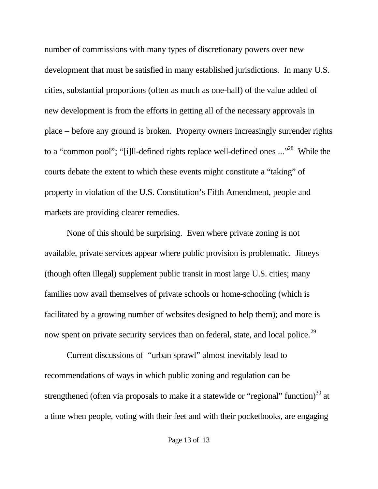number of commissions with many types of discretionary powers over new development that must be satisfied in many established jurisdictions. In many U.S. cities, substantial proportions (often as much as one-half) of the value added of new development is from the efforts in getting all of the necessary approvals in place – before any ground is broken. Property owners increasingly surrender rights to a "common pool"; "[i]ll-defined rights replace well-defined ones ..."<sup>28</sup> While the courts debate the extent to which these events might constitute a "taking" of property in violation of the U.S. Constitution's Fifth Amendment, people and markets are providing clearer remedies.

None of this should be surprising. Even where private zoning is not available, private services appear where public provision is problematic. Jitneys (though often illegal) supplement public transit in most large U.S. cities; many families now avail themselves of private schools or home-schooling (which is facilitated by a growing number of websites designed to help them); and more is now spent on private security services than on federal, state, and local police.<sup>29</sup>

Current discussions of "urban sprawl" almost inevitably lead to recommendations of ways in which public zoning and regulation can be strengthened (often via proposals to make it a statewide or "regional" function)<sup>30</sup> at a time when people, voting with their feet and with their pocketbooks, are engaging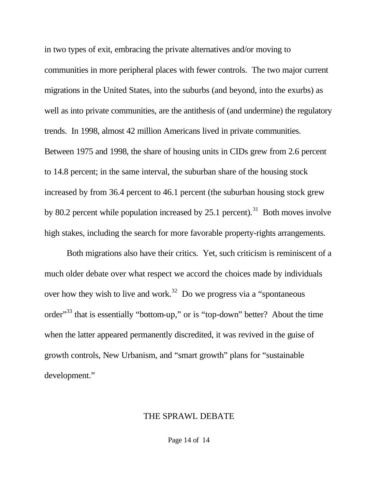in two types of exit, embracing the private alternatives and/or moving to communities in more peripheral places with fewer controls. The two major current migrations in the United States, into the suburbs (and beyond, into the exurbs) as well as into private communities, are the antithesis of (and undermine) the regulatory trends. In 1998, almost 42 million Americans lived in private communities. Between 1975 and 1998, the share of housing units in CIDs grew from 2.6 percent to 14.8 percent; in the same interval, the suburban share of the housing stock increased by from 36.4 percent to 46.1 percent (the suburban housing stock grew by 80.2 percent while population increased by  $25.1$  percent).<sup>31</sup> Both moves involve high stakes, including the search for more favorable property-rights arrangements.

Both migrations also have their critics. Yet, such criticism is reminiscent of a much older debate over what respect we accord the choices made by individuals over how they wish to live and work.<sup>32</sup> Do we progress via a "spontaneous" order<sup>33</sup> that is essentially "bottom-up," or is "top-down" better? About the time when the latter appeared permanently discredited, it was revived in the guise of growth controls, New Urbanism, and "smart growth" plans for "sustainable development."

#### THE SPRAWL DEBATE

Page 14 of 14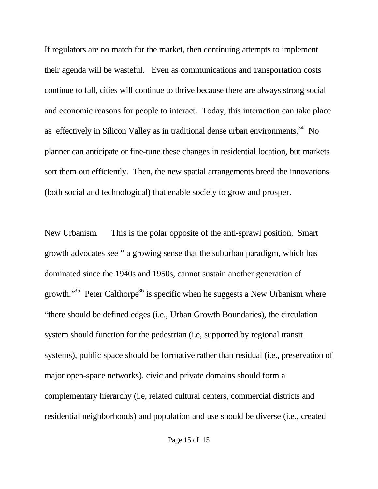If regulators are no match for the market, then continuing attempts to implement their agenda will be wasteful. Even as communications and transportation costs continue to fall, cities will continue to thrive because there are always strong social and economic reasons for people to interact. Today, this interaction can take place as effectively in Silicon Valley as in traditional dense urban environments.<sup>34</sup> No planner can anticipate or fine-tune these changes in residential location, but markets sort them out efficiently. Then, the new spatial arrangements breed the innovations (both social and technological) that enable society to grow and prosper.

New Urbanism. This is the polar opposite of the anti-sprawl position. Smart growth advocates see " a growing sense that the suburban paradigm, which has dominated since the 1940s and 1950s, cannot sustain another generation of growth."<sup>35</sup> Peter Calthorpe<sup>36</sup> is specific when he suggests a New Urbanism where "there should be defined edges (i.e., Urban Growth Boundaries), the circulation system should function for the pedestrian (i.e, supported by regional transit systems), public space should be formative rather than residual (i.e., preservation of major open-space networks), civic and private domains should form a complementary hierarchy (i.e, related cultural centers, commercial districts and residential neighborhoods) and population and use should be diverse (i.e., created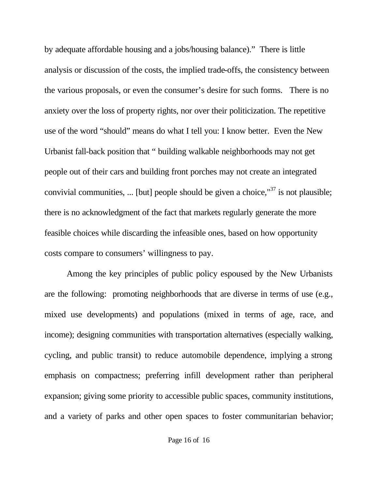by adequate affordable housing and a jobs/housing balance)." There is little analysis or discussion of the costs, the implied trade-offs, the consistency between the various proposals, or even the consumer's desire for such forms. There is no anxiety over the loss of property rights, nor over their politicization. The repetitive use of the word "should" means do what I tell you: I know better. Even the New Urbanist fall-back position that " building walkable neighborhoods may not get people out of their cars and building front porches may not create an integrated convivial communities, ... [but] people should be given a choice,  $137$  is not plausible; there is no acknowledgment of the fact that markets regularly generate the more feasible choices while discarding the infeasible ones, based on how opportunity costs compare to consumers' willingness to pay.

Among the key principles of public policy espoused by the New Urbanists are the following: promoting neighborhoods that are diverse in terms of use (e.g., mixed use developments) and populations (mixed in terms of age, race, and income); designing communities with transportation alternatives (especially walking, cycling, and public transit) to reduce automobile dependence, implying a strong emphasis on compactness; preferring infill development rather than peripheral expansion; giving some priority to accessible public spaces, community institutions, and a variety of parks and other open spaces to foster communitarian behavior;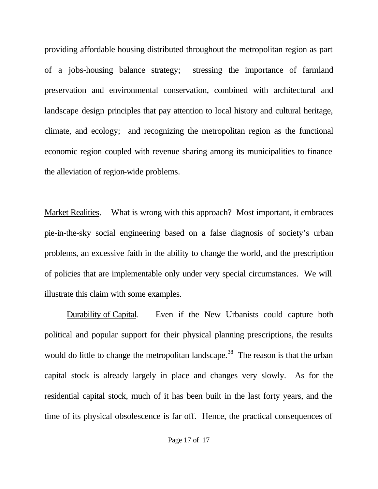providing affordable housing distributed throughout the metropolitan region as part of a jobs-housing balance strategy; stressing the importance of farmland preservation and environmental conservation, combined with architectural and landscape design principles that pay attention to local history and cultural heritage, climate, and ecology; and recognizing the metropolitan region as the functional economic region coupled with revenue sharing among its municipalities to finance the alleviation of region-wide problems.

Market Realities. What is wrong with this approach? Most important, it embraces pie-in-the-sky social engineering based on a false diagnosis of society's urban problems, an excessive faith in the ability to change the world, and the prescription of policies that are implementable only under very special circumstances. We will illustrate this claim with some examples.

Durability of Capital. Even if the New Urbanists could capture both political and popular support for their physical planning prescriptions, the results would do little to change the metropolitan landscape.<sup>38</sup> The reason is that the urban capital stock is already largely in place and changes very slowly. As for the residential capital stock, much of it has been built in the last forty years, and the time of its physical obsolescence is far off. Hence, the practical consequences of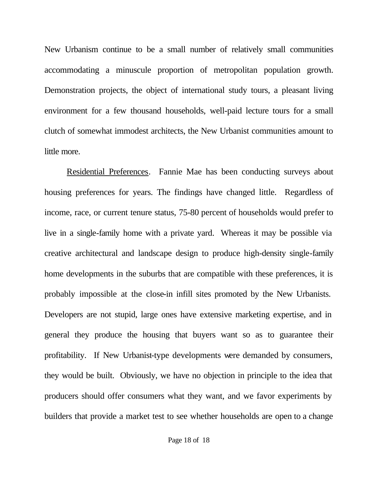New Urbanism continue to be a small number of relatively small communities accommodating a minuscule proportion of metropolitan population growth. Demonstration projects, the object of international study tours, a pleasant living environment for a few thousand households, well-paid lecture tours for a small clutch of somewhat immodest architects, the New Urbanist communities amount to little more.

Residential Preferences. Fannie Mae has been conducting surveys about housing preferences for years. The findings have changed little. Regardless of income, race, or current tenure status, 75-80 percent of households would prefer to live in a single-family home with a private yard. Whereas it may be possible via creative architectural and landscape design to produce high-density single-family home developments in the suburbs that are compatible with these preferences, it is probably impossible at the close-in infill sites promoted by the New Urbanists. Developers are not stupid, large ones have extensive marketing expertise, and in general they produce the housing that buyers want so as to guarantee their profitability. If New Urbanist-type developments were demanded by consumers, they would be built. Obviously, we have no objection in principle to the idea that producers should offer consumers what they want, and we favor experiments by builders that provide a market test to see whether households are open to a change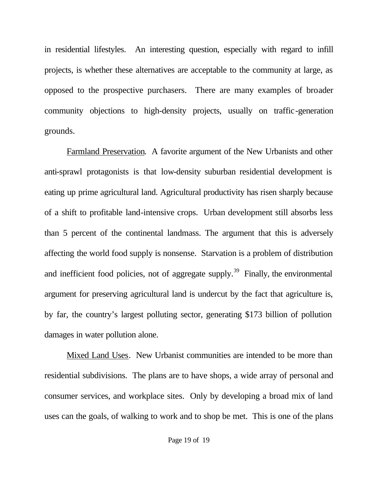in residential lifestyles. An interesting question, especially with regard to infill projects, is whether these alternatives are acceptable to the community at large, as opposed to the prospective purchasers. There are many examples of broader community objections to high-density projects, usually on traffic-generation grounds.

Farmland Preservation. A favorite argument of the New Urbanists and other anti-sprawl protagonists is that low-density suburban residential development is eating up prime agricultural land. Agricultural productivity has risen sharply because of a shift to profitable land-intensive crops. Urban development still absorbs less than 5 percent of the continental landmass. The argument that this is adversely affecting the world food supply is nonsense. Starvation is a problem of distribution and inefficient food policies, not of aggregate supply.<sup>39</sup> Finally, the environmental argument for preserving agricultural land is undercut by the fact that agriculture is, by far, the country's largest polluting sector, generating \$173 billion of pollution damages in water pollution alone.

Mixed Land Uses. New Urbanist communities are intended to be more than residential subdivisions. The plans are to have shops, a wide array of personal and consumer services, and workplace sites. Only by developing a broad mix of land uses can the goals, of walking to work and to shop be met. This is one of the plans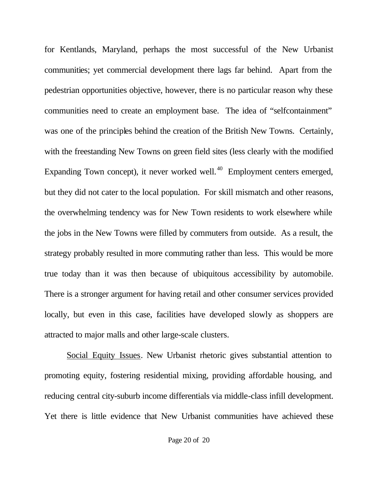for Kentlands, Maryland, perhaps the most successful of the New Urbanist communities; yet commercial development there lags far behind. Apart from the pedestrian opportunities objective, however, there is no particular reason why these communities need to create an employment base. The idea of "selfcontainment" was one of the principles behind the creation of the British New Towns. Certainly, with the freestanding New Towns on green field sites (less clearly with the modified Expanding Town concept), it never worked well.<sup>40</sup> Employment centers emerged, but they did not cater to the local population. For skill mismatch and other reasons, the overwhelming tendency was for New Town residents to work elsewhere while the jobs in the New Towns were filled by commuters from outside. As a result, the strategy probably resulted in more commuting rather than less. This would be more true today than it was then because of ubiquitous accessibility by automobile. There is a stronger argument for having retail and other consumer services provided locally, but even in this case, facilities have developed slowly as shoppers are attracted to major malls and other large-scale clusters.

Social Equity Issues. New Urbanist rhetoric gives substantial attention to promoting equity, fostering residential mixing, providing affordable housing, and reducing central city-suburb income differentials via middle-class infill development. Yet there is little evidence that New Urbanist communities have achieved these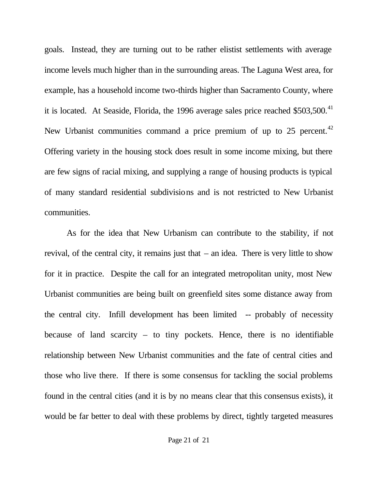goals. Instead, they are turning out to be rather elistist settlements with average income levels much higher than in the surrounding areas. The Laguna West area, for example, has a household income two-thirds higher than Sacramento County, where it is located. At Seaside, Florida, the 1996 average sales price reached  $$503,500.<sup>41</sup>$ New Urbanist communities command a price premium of up to 25 percent.<sup>42</sup> Offering variety in the housing stock does result in some income mixing, but there are few signs of racial mixing, and supplying a range of housing products is typical of many standard residential subdivisions and is not restricted to New Urbanist communities.

As for the idea that New Urbanism can contribute to the stability, if not revival, of the central city, it remains just that – an idea. There is very little to show for it in practice. Despite the call for an integrated metropolitan unity, most New Urbanist communities are being built on greenfield sites some distance away from the central city. Infill development has been limited -- probably of necessity because of land scarcity – to tiny pockets. Hence, there is no identifiable relationship between New Urbanist communities and the fate of central cities and those who live there. If there is some consensus for tackling the social problems found in the central cities (and it is by no means clear that this consensus exists), it would be far better to deal with these problems by direct, tightly targeted measures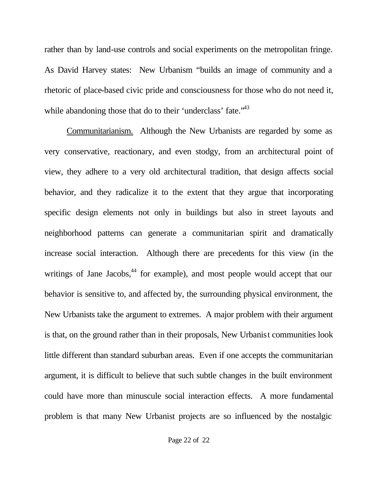rather than by land-use controls and social experiments on the metropolitan fringe. As David Harvey states: New Urbanism "builds an image of community and a rhetoric of place-based civic pride and consciousness for those who do not need it, while abandoning those that do to their 'underclass' fate."<sup>43</sup>

Communitarianism. Although the New Urbanists are regarded by some as very conservative, reactionary, and even stodgy, from an architectural point of view, they adhere to a very old architectural tradition, that design affects social behavior, and they radicalize it to the extent that they argue that incorporating specific design elements not only in buildings but also in street layouts and neighborhood patterns can generate a communitarian spirit and dramatically increase social interaction. Although there are precedents for this view (in the writings of Jane Jacobs, $44$  for example), and most people would accept that our behavior is sensitive to, and affected by, the surrounding physical environment, the New Urbanists take the argument to extremes. A major problem with their argument is that, on the ground rather than in their proposals, New Urbanist communities look little different than standard suburban areas. Even if one accepts the communitarian argument, it is difficult to believe that such subtle changes in the built environment could have more than minuscule social interaction effects. A more fundamental problem is that many New Urbanist projects are so influenced by the nostalgic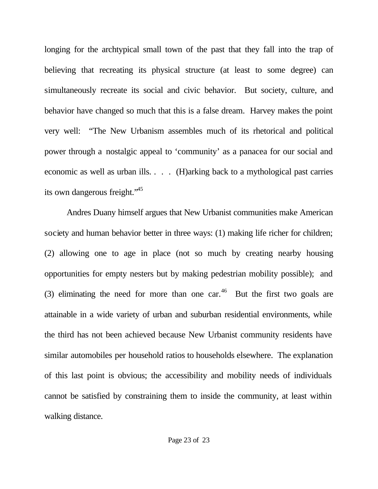longing for the archtypical small town of the past that they fall into the trap of believing that recreating its physical structure (at least to some degree) can simultaneously recreate its social and civic behavior. But society, culture, and behavior have changed so much that this is a false dream. Harvey makes the point very well: "The New Urbanism assembles much of its rhetorical and political power through a nostalgic appeal to 'community' as a panacea for our social and economic as well as urban ills. . . . (H)arking back to a mythological past carries its own dangerous freight.<sup>45</sup>

Andres Duany himself argues that New Urbanist communities make American society and human behavior better in three ways: (1) making life richer for children; (2) allowing one to age in place (not so much by creating nearby housing opportunities for empty nesters but by making pedestrian mobility possible); and (3) eliminating the need for more than one car. $46$  But the first two goals are attainable in a wide variety of urban and suburban residential environments, while the third has not been achieved because New Urbanist community residents have similar automobiles per household ratios to households elsewhere. The explanation of this last point is obvious; the accessibility and mobility needs of individuals cannot be satisfied by constraining them to inside the community, at least within walking distance.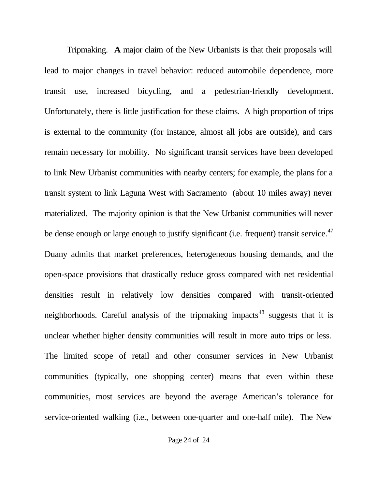Tripmaking. **A** major claim of the New Urbanists is that their proposals will lead to major changes in travel behavior: reduced automobile dependence, more transit use, increased bicycling, and a pedestrian-friendly development. Unfortunately, there is little justification for these claims. A high proportion of trips is external to the community (for instance, almost all jobs are outside), and cars remain necessary for mobility. No significant transit services have been developed to link New Urbanist communities with nearby centers; for example, the plans for a transit system to link Laguna West with Sacramento (about 10 miles away) never materialized. The majority opinion is that the New Urbanist communities will never be dense enough or large enough to justify significant (i.e. frequent) transit service. $47$ Duany admits that market preferences, heterogeneous housing demands, and the open-space provisions that drastically reduce gross compared with net residential densities result in relatively low densities compared with transit-oriented neighborhoods. Careful analysis of the tripmaking impacts<sup>48</sup> suggests that it is unclear whether higher density communities will result in more auto trips or less. The limited scope of retail and other consumer services in New Urbanist communities (typically, one shopping center) means that even within these communities, most services are beyond the average American's tolerance for service-oriented walking (i.e., between one-quarter and one-half mile). The New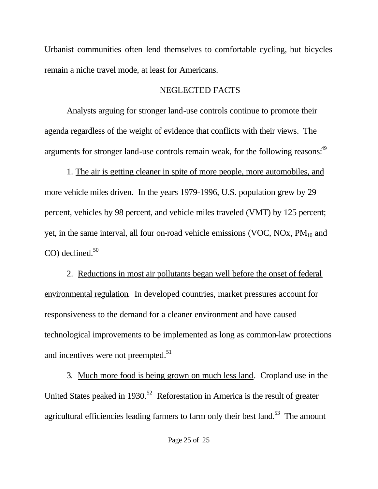Urbanist communities often lend themselves to comfortable cycling, but bicycles remain a niche travel mode, at least for Americans.

# NEGLECTED FACTS

Analysts arguing for stronger land-use controls continue to promote their agenda regardless of the weight of evidence that conflicts with their views. The arguments for stronger land-use controls remain weak, for the following reasons:<sup>49</sup>

1. The air is getting cleaner in spite of more people, more automobiles, and more vehicle miles driven. In the years 1979-1996, U.S. population grew by 29 percent, vehicles by 98 percent, and vehicle miles traveled (VMT) by 125 percent; yet, in the same interval, all four on-road vehicle emissions (VOC, NOx,  $PM_{10}$  and  $CO$ ) declined.<sup>50</sup>

2. Reductions in most air pollutants began well before the onset of federal environmental regulation. In developed countries, market pressures account for responsiveness to the demand for a cleaner environment and have caused technological improvements to be implemented as long as common-law protections and incentives were not preempted.<sup>51</sup>

3. Much more food is being grown on much less land. Cropland use in the United States peaked in 1930.<sup>52</sup> Reforestation in America is the result of greater agricultural efficiencies leading farmers to farm only their best land.<sup>53</sup> The amount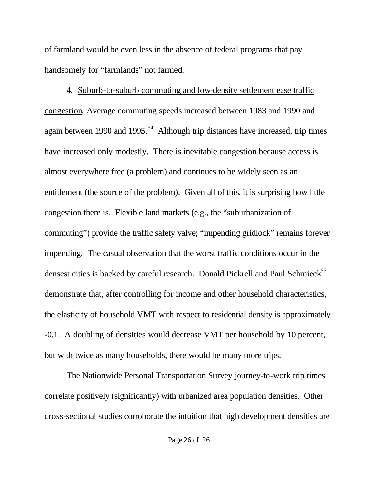of farmland would be even less in the absence of federal programs that pay handsomely for "farmlands" not farmed.

4. Suburb-to-suburb commuting and low-density settlement ease traffic congestion*.* Average commuting speeds increased between 1983 and 1990 and again between 1990 and 1995.<sup>54</sup> Although trip distances have increased, trip times have increased only modestly. There is inevitable congestion because access is almost everywhere free (a problem) and continues to be widely seen as an entitlement (the source of the problem). Given all of this, it is surprising how little congestion there is. Flexible land markets (e.g., the "suburbanization of commuting") provide the traffic safety valve; "impending gridlock" remains forever impending. The casual observation that the worst traffic conditions occur in the densest cities is backed by careful research. Donald Pickrell and Paul Schmieck $^{55}$ demonstrate that, after controlling for income and other household characteristics, the elasticity of household VMT with respect to residential density is approximately -0.1. A doubling of densities would decrease VMT per household by 10 percent, but with twice as many households, there would be many more trips.

The Nationwide Personal Transportation Survey journey-to-work trip times correlate positively (significantly) with urbanized area population densities. Other cross-sectional studies corroborate the intuition that high development densities are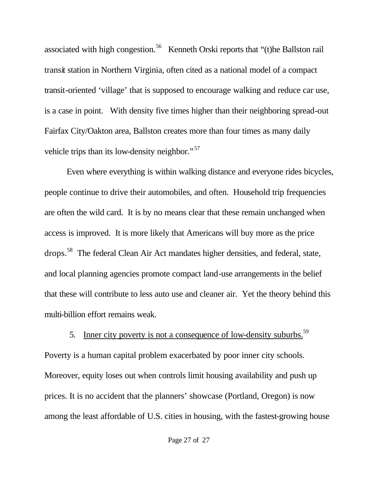associated with high congestion.<sup>56</sup> Kenneth Orski reports that "(t)he Ballston rail transit station in Northern Virginia, often cited as a national model of a compact transit-oriented 'village' that is supposed to encourage walking and reduce car use, is a case in point. With density five times higher than their neighboring spread-out Fairfax City/Oakton area, Ballston creates more than four times as many daily vehicle trips than its low-density neighbor."<sup>57</sup>

Even where everything is within walking distance and everyone rides bicycles, people continue to drive their automobiles, and often. Household trip frequencies are often the wild card. It is by no means clear that these remain unchanged when access is improved. It is more likely that Americans will buy more as the price drops.<sup>58</sup> The federal Clean Air Act mandates higher densities, and federal, state, and local planning agencies promote compact land-use arrangements in the belief that these will contribute to less auto use and cleaner air. Yet the theory behind this multi-billion effort remains weak.

5. Inner city poverty is not a consequence of low-density suburbs.<sup>59</sup> Poverty is a human capital problem exacerbated by poor inner city schools. Moreover, equity loses out when controls limit housing availability and push up prices. It is no accident that the planners' showcase (Portland, Oregon) is now among the least affordable of U.S. cities in housing, with the fastest-growing house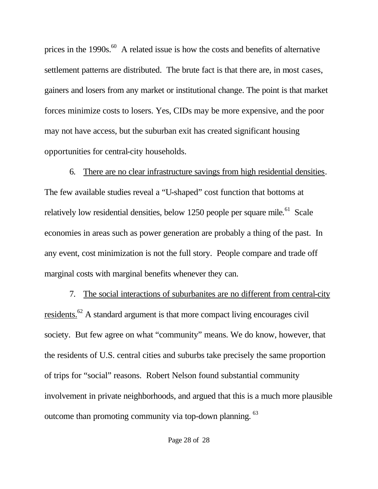prices in the  $1990s$ .<sup>60</sup> A related issue is how the costs and benefits of alternative settlement patterns are distributed. The brute fact is that there are, in most cases, gainers and losers from any market or institutional change. The point is that market forces minimize costs to losers. Yes, CIDs may be more expensive, and the poor may not have access, but the suburban exit has created significant housing opportunities for central-city households.

6. There are no clear infrastructure savings from high residential densities. The few available studies reveal a "U-shaped" cost function that bottoms at relatively low residential densities, below 1250 people per square mile.<sup>61</sup> Scale economies in areas such as power generation are probably a thing of the past. In any event, cost minimization is not the full story. People compare and trade off marginal costs with marginal benefits whenever they can.

7. The social interactions of suburbanites are no different from central-city residents.<sup>62</sup> A standard argument is that more compact living encourages civil society. But few agree on what "community" means. We do know, however, that the residents of U.S. central cities and suburbs take precisely the same proportion of trips for "social" reasons. Robert Nelson found substantial community involvement in private neighborhoods, and argued that this is a much more plausible outcome than promoting community via top-down planning. <sup>63</sup>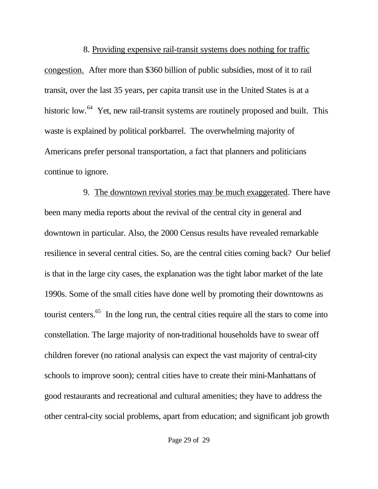8. Providing expensive rail-transit systems does nothing for traffic congestion. After more than \$360 billion of public subsidies, most of it to rail transit, over the last 35 years, per capita transit use in the United States is at a historic low.<sup>64</sup> Yet, new rail-transit systems are routinely proposed and built. This waste is explained by political porkbarrel. The overwhelming majority of Americans prefer personal transportation, a fact that planners and politicians continue to ignore.

9. The downtown revival stories may be much exaggerated. There have been many media reports about the revival of the central city in general and downtown in particular. Also, the 2000 Census results have revealed remarkable resilience in several central cities. So, are the central cities coming back? Our belief is that in the large city cases, the explanation was the tight labor market of the late 1990s. Some of the small cities have done well by promoting their downtowns as tourist centers.<sup>65</sup> In the long run, the central cities require all the stars to come into constellation. The large majority of non-traditional households have to swear off children forever (no rational analysis can expect the vast majority of central-city schools to improve soon); central cities have to create their mini-Manhattans of good restaurants and recreational and cultural amenities; they have to address the other central-city social problems, apart from education; and significant job growth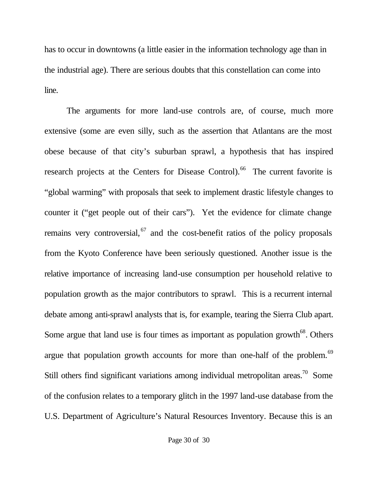has to occur in downtowns (a little easier in the information technology age than in the industrial age). There are serious doubts that this constellation can come into line.

The arguments for more land-use controls are, of course, much more extensive (some are even silly, such as the assertion that Atlantans are the most obese because of that city's suburban sprawl, a hypothesis that has inspired research projects at the Centers for Disease Control).<sup>66</sup> The current favorite is "global warming" with proposals that seek to implement drastic lifestyle changes to counter it ("get people out of their cars"). Yet the evidence for climate change remains very controversial,  $67$  and the cost-benefit ratios of the policy proposals from the Kyoto Conference have been seriously questioned. Another issue is the relative importance of increasing land-use consumption per household relative to population growth as the major contributors to sprawl. This is a recurrent internal debate among anti-sprawl analysts that is, for example, tearing the Sierra Club apart. Some argue that land use is four times as important as population growth<sup>68</sup>. Others argue that population growth accounts for more than one-half of the problem.<sup>69</sup> Still others find significant variations among individual metropolitan areas.<sup>70</sup> Some of the confusion relates to a temporary glitch in the 1997 land-use database from the U.S. Department of Agriculture's Natural Resources Inventory. Because this is an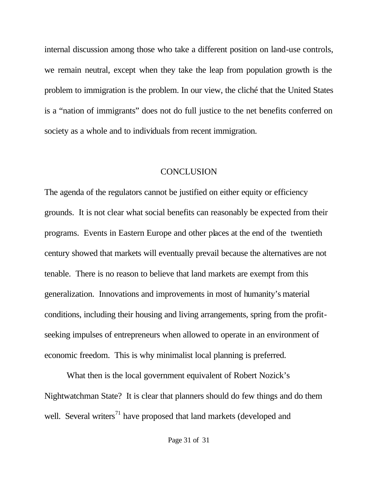internal discussion among those who take a different position on land-use controls, we remain neutral, except when they take the leap from population growth is the problem to immigration is the problem. In our view, the cliché that the United States is a "nation of immigrants" does not do full justice to the net benefits conferred on society as a whole and to individuals from recent immigration.

# **CONCLUSION**

The agenda of the regulators cannot be justified on either equity or efficiency grounds. It is not clear what social benefits can reasonably be expected from their programs. Events in Eastern Europe and other places at the end of the twentieth century showed that markets will eventually prevail because the alternatives are not tenable. There is no reason to believe that land markets are exempt from this generalization. Innovations and improvements in most of humanity's material conditions, including their housing and living arrangements, spring from the profitseeking impulses of entrepreneurs when allowed to operate in an environment of economic freedom. This is why minimalist local planning is preferred.

What then is the local government equivalent of Robert Nozick's Nightwatchman State? It is clear that planners should do few things and do them well. Several writers<sup>71</sup> have proposed that land markets (developed and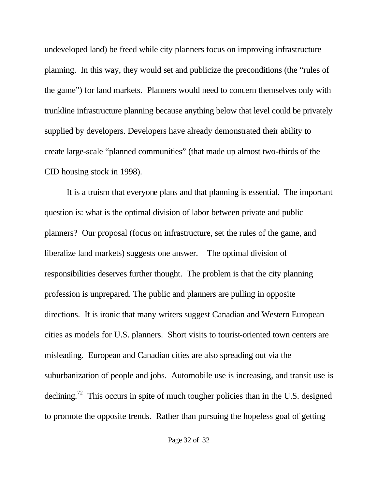undeveloped land) be freed while city planners focus on improving infrastructure planning. In this way, they would set and publicize the preconditions (the "rules of the game") for land markets. Planners would need to concern themselves only with trunkline infrastructure planning because anything below that level could be privately supplied by developers. Developers have already demonstrated their ability to create large-scale "planned communities" (that made up almost two-thirds of the CID housing stock in 1998).

It is a truism that everyone plans and that planning is essential. The important question is: what is the optimal division of labor between private and public planners? Our proposal (focus on infrastructure, set the rules of the game, and liberalize land markets) suggests one answer. The optimal division of responsibilities deserves further thought. The problem is that the city planning profession is unprepared. The public and planners are pulling in opposite directions. It is ironic that many writers suggest Canadian and Western European cities as models for U.S. planners. Short visits to tourist-oriented town centers are misleading. European and Canadian cities are also spreading out via the suburbanization of people and jobs. Automobile use is increasing, and transit use is declining.<sup>72</sup> This occurs in spite of much tougher policies than in the U.S. designed to promote the opposite trends. Rather than pursuing the hopeless goal of getting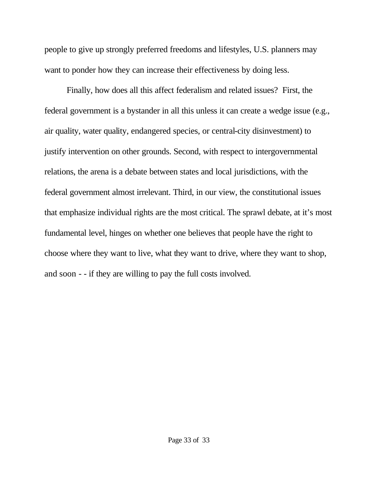people to give up strongly preferred freedoms and lifestyles, U.S. planners may want to ponder how they can increase their effectiveness by doing less.

Finally, how does all this affect federalism and related issues? First, the federal government is a bystander in all this unless it can create a wedge issue (e.g., air quality, water quality, endangered species, or central-city disinvestment) to justify intervention on other grounds. Second, with respect to intergovernmental relations, the arena is a debate between states and local jurisdictions, with the federal government almost irrelevant. Third, in our view, the constitutional issues that emphasize individual rights are the most critical. The sprawl debate, at it's most fundamental level, hinges on whether one believes that people have the right to choose where they want to live, what they want to drive, where they want to shop, and soon - - if they are willing to pay the full costs involved.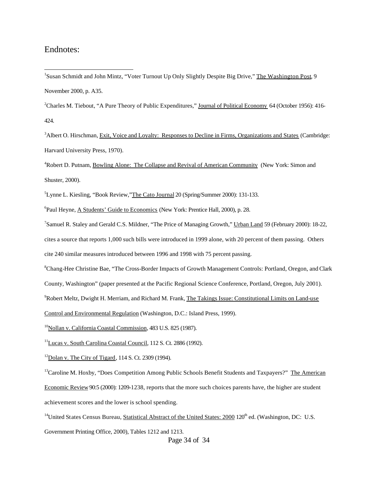#### Endnotes:

l

<sup>1</sup>Susan Schmidt and John Mintz, "Voter Turnout Up Only Slightly Despite Big Drive," The Washington Post, 9 November 2000, p. A35.

<sup>2</sup>Charles M. Tiebout, "A Pure Theory of Public Expenditures," Journal of Political Economy 64 (October 1956): 416-424.

<sup>3</sup>Albert O. Hirschman, Exit, Voice and Loyalty: Responses to Decline in Firms, Organizations and States (Cambridge: Harvard University Press, 1970).

<sup>4</sup>Robert D. Putnam, Bowling Alone: The Collapse and Revival of American Community (New York: Simon and Shuster, 2000).

<sup>5</sup>Lynne L. Kiesling, "Book Review,"The Cato Journal 20 (Spring/Summer 2000): 131-133.

<sup>6</sup>Paul Heyne, A Students' Guide to Economics (New York: Prentice Hall, 2000), p. 28.

<sup>7</sup>Samuel R. Staley and Gerald C.S. Mildner, "The Price of Managing Growth," Urban Land 59 (February 2000): 18-22, cites a source that reports 1,000 such bills were introduced in 1999 alone, with 20 percent of them passing. Others cite 240 similar measures introduced between 1996 and 1998 with 75 percent passing.

<sup>8</sup>Chang-Hee Christine Bae, "The Cross-Border Impacts of Growth Management Controls: Portland, Oregon, and Clark

County, Washington" (paper presented at the Pacific Regional Science Conference, Portland, Oregon, July 2001).

<sup>9</sup>Robert Meltz, Dwight H. Merriam, and Richard M. Frank, The Takings Issue: Constitutional Limits on Land-use

Control and Environmental Regulation (Washington, D.C.: Island Press, 1999).

<sup>10</sup>Nollan v. California Coastal Commission, 483 U.S. 825 (1987).

<sup>11</sup>Lucas v. South Carolina Coastal Council, 112 S. Ct. 2886 (1992).

 $12$ Dolan v. The City of Tigard, 114 S. Ct. 2309 (1994).

 $13$ Caroline M. Hoxby, "Does Competition Among Public Schools Benefit Students and Taxpayers?" The American Economic Review 90:5 (2000): 1209-1238, reports that the more such choices parents have, the higher are student achievement scores and the lower is school spending.

<sup>14</sup>United States Census Bureau, Statistical Abstract of the United States: 2000 120<sup>th</sup> ed. (Washington, DC: U.S.

Government Printing Office, 2000), Tables 1212 and 1213.

Page 34 of 34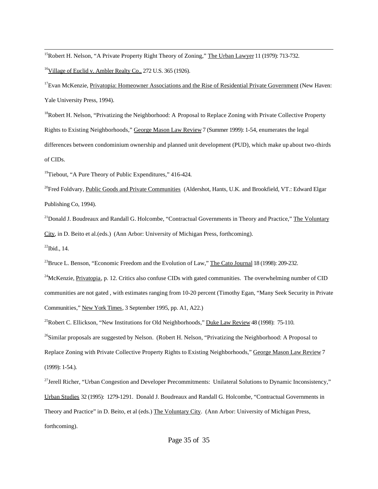<sup>15</sup>Robert H. Nelson, "A Private Property Right Theory of Zoning," The Urban Lawyer 11 (1979): 713-732.  $16$ Village of Euclid v. Ambler Realty Co., 272 U.S. 365 (1926).

<sup>17</sup>Evan McKenzie, Privatopia: Homeowner Associations and the Rise of Residential Private Government (New Haven: Yale University Press, 1994).

 $18R$ obert H. Nelson, "Privatizing the Neighborhood: A Proposal to Replace Zoning with Private Collective Property Rights to Existing Neighborhoods," George Mason Law Review 7 (Summer 1999): 1-54, enumerates the legal differences between condominium ownership and planned unit development (PUD), which make up about two-thirds of CIDs.

<sup>19</sup>Tiebout, "A Pure Theory of Public Expenditures," 416-424.

<sup>20</sup>Fred Foldvary, Public Goods and Private Communities (Aldershot, Hants, U.K. and Brookfield, VT.: Edward Elgar Publishing Co, 1994).

<sup>21</sup>Donald J. Boudreaux and Randall G. Holcombe, "Contractual Governments in Theory and Practice," The Voluntary City, in D. Beito et al.(eds.) (Ann Arbor: University of Michigan Press, forthcoming).

 $^{22}$ Ibid., 14.

l

<sup>23</sup>Bruce L. Benson, "Economic Freedom and the Evolution of Law," The Cato Journal 18 (1998): 209-232.

 $^{24}$ McKenzie, Privatopia, p. 12. Critics also confuse CIDs with gated communities. The overwhelming number of CID communities are not gated , with estimates ranging from 10-20 percent (Timothy Egan, "Many Seek Security in Private Communities," New York Times, 3 September 1995, pp. A1, A22.)

<sup>25</sup>Robert C. Ellickson, "New Institutions for Old Neighborhoods," Duke Law Review 48 (1998): 75-110.

<sup>26</sup>Similar proposals are suggested by Nelson. (Robert H. Nelson, "Privatizing the Neighborhood: A Proposal to

Replace Zoning with Private Collective Property Rights to Existing Neighborhoods," George Mason Law Review 7 (1999): 1-54.).

<sup>27</sup>Jerell Richer, "Urban Congestion and Developer Precommitments: Unilateral Solutions to Dynamic Inconsistency," Urban Studies 32 (1995): 1279-1291. Donald J. Boudreaux and Randall G. Holcombe, "Contractual Governments in Theory and Practice" in D. Beito, et al (eds.) The Voluntary City. (Ann Arbor: University of Michigan Press, forthcoming).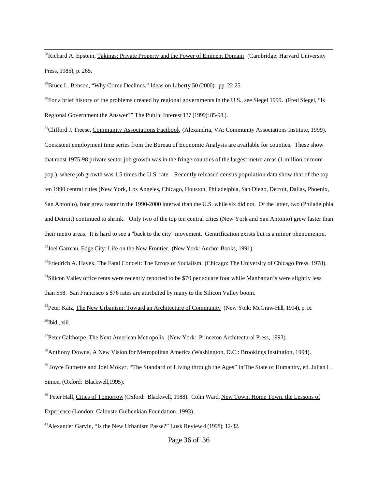<sup>28</sup>Richard A. Epstein, Takings: Private Property and the Power of Eminent Domain (Cambridge: Harvard University Press, 1985), p. 265.

<sup>29</sup>Bruce L. Benson, "Why Crime Declines," Ideas on Liberty 50 (2000): pp. 22-25.

l

 $30$ For a brief history of the problems created by regional governments in the U.S., see Siegel 1999. (Fred Siegel, "Is Regional Government the Answer?" The Public Interest 137 (1999): 85-98.).

<sup>31</sup>Clifford J. Treese, Community Associations Factbook (Alexandria, VA: Community Associations Institute, 1999). Consistent employment time series from the Bureau of Economic Analysis are available for counties. These show that most 1975-98 private sector job growth was in the fringe counties of the largest metro areas (1 million or more pop.), where job growth was 1.5 times the U.S. rate. Recently released census population data show that of the top ten 1990 central cities (New York, Los Angeles, Chicago, Houston, Philadelphia, San Diego, Detroit, Dallas, Phoenix, San Antonio), four grew faster in the 1990-2000 interval than the U.S. while six did not. Of the latter, two (Philadelphia and Detroit) continued to shrink. Only two of the top ten central cities (New York and San Antonio) grew faster than their metro areas. It is hard to see a "back to the city" movement. Gentrification exists but is a minor phenomenon. <sup>32</sup>Joel Garreau, Edge City: Life on the New Frontier. (New York: Anchor Books, 1991).

 $33$ Friedrich A. Hayek, The Fatal Conceit: The Errors of Socialism. (Chicago: The University of Chicago Press, 1978).  $34$ Silicon Valley office rents were recently reported to be \$70 per square foot while Manhattan's were slightly less than \$58. San Francisco's \$76 rates are attributed by many to the Silicon Valley boom.

<sup>35</sup>Peter Katz, The New Urbanism: Toward an Architecture of Community (New York: McGraw-Hill, 1994), p. ix.  $36$ Ibid., xiii.

<sup>37</sup>Peter Calthorpe, The Next American Metropolis (New York: Princeton Architectural Press, 1993).

<sup>38</sup>Anthony Downs, A New Vision for Metropolitan America (Washington, D.C.: Brookings Institution, 1994).

<sup>39</sup> Joyce Burnette and Joel Mokyr, "The Standard of Living through the Ages" in The State of Humanity, ed. Julian L. Simon. (Oxford: Blackwell,1995).

<sup>40</sup> Peter Hall, Cities of Tomorrow (Oxford: Blackwell, 1988). Colin Ward, New Town, Home Town, the Lessons of Experience (London: Calouste Gulbenkian Foundation. 1993).

<sup>41</sup>Alexander Garvin, "Is the New Urbanism Passe?" Lusk Review 4 (1998): 12-32.

Page 36 of 36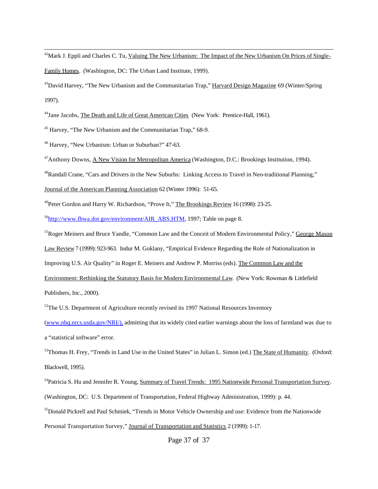$^{42}$ Mark J. Eppli and Charles C. Tu, Valuing The New Urbanism: The Impact of the New Urbanism On Prices of Single-

Family Homes. (Washington, DC: The Urban Land Institute, 1999).

<sup>43</sup>David Harvey, "The New Urbanism and the Communitarian Trap," Harvard Design Magazine 69 (Winter/Spring) 1997).

<sup>44</sup>Jane Jacobs, The Death and Life of Great American Cities (New York: Prentice-Hall, 1961).

<sup>45</sup> Harvey, "The New Urbanism and the Communitarian Trap," 68-9.

<sup>46</sup> Harvey, "New Urbanism: Urban or Suburban?" 47-63.

<sup>47</sup>Anthony Downs, A New Vision for Metropolitan America (Washington, D.C.: Brookings Institution, 1994).

<sup>48</sup>Randall Crane, "Cars and Drivers in the New Suburbs: Linking Access to Travel in Neo-traditional Planning,"

Journal of the American Planning Association 62 (Winter 1996): 51-65.

<sup>49</sup>Peter Gordon and Harry W. Richardson, "Prove It," The Brookings Review 16 (1998): 23-25.

 $^{50}$ http://www.fhwa.dot.gov/environment/AIR\_ABS.HTM, 1997; Table on page 8.

<sup>51</sup>Roger Meiners and Bruce Yandle, "Common Law and the Conceit of Modern Environmental Policy," George Mason

Law Review 7 (1999): 923-963. Indur M. Goklany, "Empirical Evidence Regarding the Role of Nationalization in

Improving U.S. Air Quality" in Roger E. Meiners and Andrew P. Morriss (eds). The Common Law and the

Environment: Rethinking the Statutory Basis for Modern Environmental Law. (New York: Rowman & Littlefield

Publishers, Inc., 2000).

l

 $52$ The U.S. Department of Agriculture recently revised its 1997 National Resources Inventory

(www.nhq.nrcs.usda.gov/NRI/), admitting that its widely cited earlier warnings about the loss of farmland was due to a "statistical software" error.

<sup>53</sup>Thomas H. Frey, "Trends in Land Use in the United States" in Julian L. Simon (ed.) The State of Humanity. (Oxford: Blackwell, 1995).

<sup>54</sup>Patricia S. Hu and Jennifer R. Young, Summary of Travel Trends: 1995 Nationwide Personal Transportation Survey. (Washington, DC: U.S. Department of Transportation, Federal Highway Administration, 1999): p. 44.

<sup>55</sup>Donald Pickrell and Paul Schmiek, "Trends in Motor Vehicle Ownership and use: Evidence from the Nationwide

Personal Transportation Survey," Journal of Transportation and Statistics 2 (1999): 1-17.

Page 37 of 37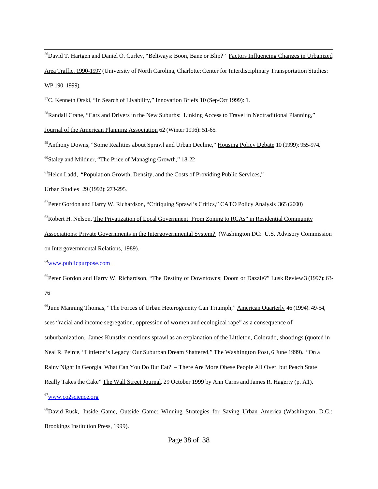<sup>56</sup>David T. Hartgen and Daniel O. Curley, "Beltways: Boon, Bane or Blip?" Factors Influencing Changes in Urbanized

Area Traffic, 1990-1997 (University of North Carolina, Charlotte: Center for Interdisciplinary Transportation Studies: WP 190, 1999).

<sup>57</sup>C. Kenneth Orski, "In Search of Livability," Innovation Briefs 10 (Sep/Oct 1999): 1.

<sup>58</sup>Randall Crane, "Cars and Drivers in the New Suburbs: Linking Access to Travel in Neotraditional Planning,"

Journal of the American Planning Association 62 (Winter 1996): 51-65.

<sup>59</sup>Anthony Downs, "Some Realities about Sprawl and Urban Decline," Housing Policy Debate 10 (1999): 955-974.

 $60$ Staley and Mildner, "The Price of Managing Growth," 18-22

 $<sup>61</sup>$  Helen Ladd, "Population Growth, Density, and the Costs of Providing Public Services,"</sup>

Urban Studies 29 (1992): 273-295.

l

 $^{62}$ Peter Gordon and Harry W. Richardson, "Critiquing Sprawl's Critics," CATO Policy Analysis 365 (2000)

 $^{63}$ Robert H. Nelson, The Privatization of Local Government: From Zoning to RCAs" in Residential Community

Associations: Private Governments in the Intergovernmental System? (Washington DC: U.S. Advisory Commission on Intergovernmental Relations, 1989).

<sup>64</sup>www.publicpurpose.com

<sup>65</sup>Peter Gordon and Harry W. Richardson, "The Destiny of Downtowns: Doom or Dazzle?" Lusk Review 3 (1997): 63-76

<sup>66</sup>June Manning Thomas, "The Forces of Urban Heterogeneity Can Triumph," American Quarterly 46 (1994): 49-54, sees "racial and income segregation, oppression of women and ecological rape" as a consequence of suburbanization. James Kunstler mentions sprawl as an explanation of the Littleton, Colorado, shootings (quoted in Neal R. Peirce, "Littleton's Legacy: Our Suburban Dream Shattered," The Washington Post, 6 June 1999). "On a Rainy Night In Georgia, What Can You Do But Eat? – There Are More Obese People All Over, but Peach State Really Takes the Cake" The Wall Street Journal, 29 October 1999 by Ann Carns and James R. Hagerty (p. A1).  $67$ www.co2science.org

<sup>68</sup>David Rusk, Inside Game, Outside Game: Winning Strategies for Saving Urban America (Washington, D.C.: Brookings Institution Press, 1999).